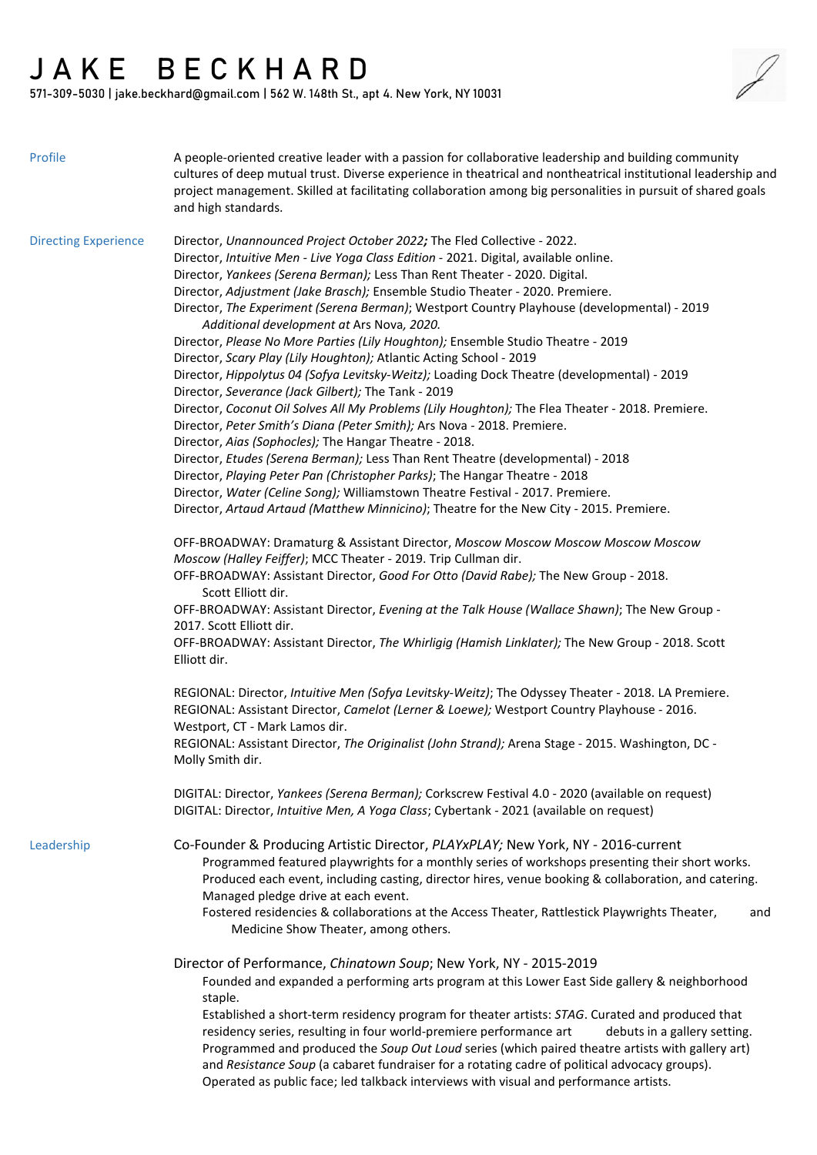## $JAK E BE C K H AR D$ <br>571-309-5030 Liake beckbard@gmail.com | 543 W 140th Ct. att / NumVersion

571-309-5030 | jake.beckhard@gmail.com | 562 W. 148th St., apt 4. New York, NY 10031

| Profile                     | A people-oriented creative leader with a passion for collaborative leadership and building community<br>cultures of deep mutual trust. Diverse experience in theatrical and nontheatrical institutional leadership and<br>project management. Skilled at facilitating collaboration among big personalities in pursuit of shared goals<br>and high standards.                                                                                                                                                                                                                                                                                                                                                                                                                                                                                                                                                                                                                                                                                                                                                                                                                                                                                                                                                                                                                      |
|-----------------------------|------------------------------------------------------------------------------------------------------------------------------------------------------------------------------------------------------------------------------------------------------------------------------------------------------------------------------------------------------------------------------------------------------------------------------------------------------------------------------------------------------------------------------------------------------------------------------------------------------------------------------------------------------------------------------------------------------------------------------------------------------------------------------------------------------------------------------------------------------------------------------------------------------------------------------------------------------------------------------------------------------------------------------------------------------------------------------------------------------------------------------------------------------------------------------------------------------------------------------------------------------------------------------------------------------------------------------------------------------------------------------------|
| <b>Directing Experience</b> | Director, Unannounced Project October 2022; The Fled Collective - 2022.<br>Director, Intuitive Men - Live Yoga Class Edition - 2021. Digital, available online.<br>Director, Yankees (Serena Berman); Less Than Rent Theater - 2020. Digital.<br>Director, Adjustment (Jake Brasch); Ensemble Studio Theater - 2020. Premiere.<br>Director, The Experiment (Serena Berman); Westport Country Playhouse (developmental) - 2019<br>Additional development at Ars Nova, 2020.<br>Director, Please No More Parties (Lily Houghton); Ensemble Studio Theatre - 2019<br>Director, Scary Play (Lily Houghton); Atlantic Acting School - 2019<br>Director, Hippolytus 04 (Sofya Levitsky-Weitz); Loading Dock Theatre (developmental) - 2019<br>Director, Severance (Jack Gilbert); The Tank - 2019<br>Director, Coconut Oil Solves All My Problems (Lily Houghton); The Flea Theater - 2018. Premiere.<br>Director, Peter Smith's Diana (Peter Smith); Ars Nova - 2018. Premiere.<br>Director, Aias (Sophocles); The Hangar Theatre - 2018.<br>Director, Etudes (Serena Berman); Less Than Rent Theatre (developmental) - 2018<br>Director, Playing Peter Pan (Christopher Parks); The Hangar Theatre - 2018<br>Director, Water (Celine Song); Williamstown Theatre Festival - 2017. Premiere.<br>Director, Artaud Artaud (Matthew Minnicino); Theatre for the New City - 2015. Premiere. |
|                             | OFF-BROADWAY: Dramaturg & Assistant Director, Moscow Moscow Moscow Moscow Moscow<br>Moscow (Halley Feiffer); MCC Theater - 2019. Trip Cullman dir.<br>OFF-BROADWAY: Assistant Director, Good For Otto (David Rabe); The New Group - 2018.<br>Scott Elliott dir.<br>OFF-BROADWAY: Assistant Director, Evening at the Talk House (Wallace Shawn); The New Group -<br>2017. Scott Elliott dir.<br>OFF-BROADWAY: Assistant Director, The Whirligig (Hamish Linklater); The New Group - 2018. Scott<br>Elliott dir.<br>REGIONAL: Director, Intuitive Men (Sofya Levitsky-Weitz); The Odyssey Theater - 2018. LA Premiere.<br>REGIONAL: Assistant Director, Camelot (Lerner & Loewe); Westport Country Playhouse - 2016.<br>Westport, CT - Mark Lamos dir.<br>REGIONAL: Assistant Director, The Originalist (John Strand); Arena Stage - 2015. Washington, DC -<br>Molly Smith dir.                                                                                                                                                                                                                                                                                                                                                                                                                                                                                                      |
| Leadership                  | DIGITAL: Director, Yankees (Serena Berman); Corkscrew Festival 4.0 - 2020 (available on request)<br>DIGITAL: Director, Intuitive Men, A Yoga Class; Cybertank - 2021 (available on request)<br>Co-Founder & Producing Artistic Director, PLAYxPLAY; New York, NY - 2016-current                                                                                                                                                                                                                                                                                                                                                                                                                                                                                                                                                                                                                                                                                                                                                                                                                                                                                                                                                                                                                                                                                                    |
|                             | Programmed featured playwrights for a monthly series of workshops presenting their short works.<br>Produced each event, including casting, director hires, venue booking & collaboration, and catering.<br>Managed pledge drive at each event.<br>Fostered residencies & collaborations at the Access Theater, Rattlestick Playwrights Theater,<br>and<br>Medicine Show Theater, among others.                                                                                                                                                                                                                                                                                                                                                                                                                                                                                                                                                                                                                                                                                                                                                                                                                                                                                                                                                                                     |
|                             | Director of Performance, Chinatown Soup; New York, NY - 2015-2019<br>Founded and expanded a performing arts program at this Lower East Side gallery & neighborhood<br>staple.<br>Established a short-term residency program for theater artists: STAG. Curated and produced that<br>residency series, resulting in four world-premiere performance art<br>debuts in a gallery setting.<br>Programmed and produced the Soup Out Loud series (which paired theatre artists with gallery art)<br>and Resistance Soup (a cabaret fundraiser for a rotating cadre of political advocacy groups).<br>Operated as public face; led talkback interviews with visual and performance artists.                                                                                                                                                                                                                                                                                                                                                                                                                                                                                                                                                                                                                                                                                               |